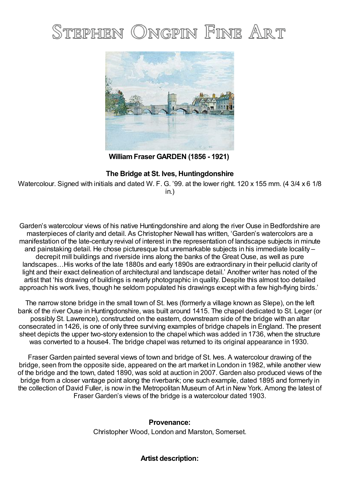## ONGPIN FINE ART Stephen



**WilliamFraser GARDEN (1856 - 1921)**

## **The Bridge at St. Ives, Huntingdonshire**

Watercolour. Signed with initials and dated W. F. G. '99. at the lower right. 120 x 155 mm. (4 3/4 x 6 1/8 in.)

Garden's watercolour views of his native Huntingdonshire and along the river Ouse in Bedfordshire are masterpieces of clarity and detail. As Christopher Newall has written, 'Garden's watercolors are a manifestation of the late-century revival of interest in the representation of landscape subjects in minute and painstaking detail. He chose picturesque but unremarkable subjects in his immediate locality – decrepit mill buildings and riverside inns along the banks of the Great Ouse, as well as pure landscapes…His works of the late 1880s and early 1890s are extraordinary in their pellucid clarity of light and their exact delineation of architectural and landscape detail.' Another writer has noted of the artist that 'his drawing of buildings is nearly photographic in quality. Despite this almost too detailed approach his work lives, though he seldom populated his drawings except with a few high-flying birds.'

The narrow stone bridge in the small town of St. Ives (formerly a village known as Slepe), on the left bank of the river Ouse in Huntingdonshire, was built around 1415. The chapel dedicated to St. Leger (or possibly St. Lawrence), constructed on the eastern, downstream side of the bridge with an altar consecrated in 1426, is one of only three surviving examples of bridge chapels in England. The present sheet depicts the upper two-story extension to the chapel which was added in 1736, when the structure was converted to a house4. The bridge chapel was returned to its original appearance in 1930.

Fraser Garden painted several views of town and bridge of St. Ives. A watercolour drawing of the bridge, seen from the opposite side, appeared on the art market in London in 1982, while another view of the bridge and the town, dated 1890, was sold at auction in 2007. Garden also produced views of the bridge from a closer vantage point along the riverbank; one such example, dated 1895 and formerly in the collection of David Fuller, is now in the Metropolitan Museum of Art in New York. Among the latest of Fraser Garden's views of the bridge is a watercolour dated 1903.

## **Provenance:**

Christopher Wood, London and Marston, Somerset.

## **Artist description:**